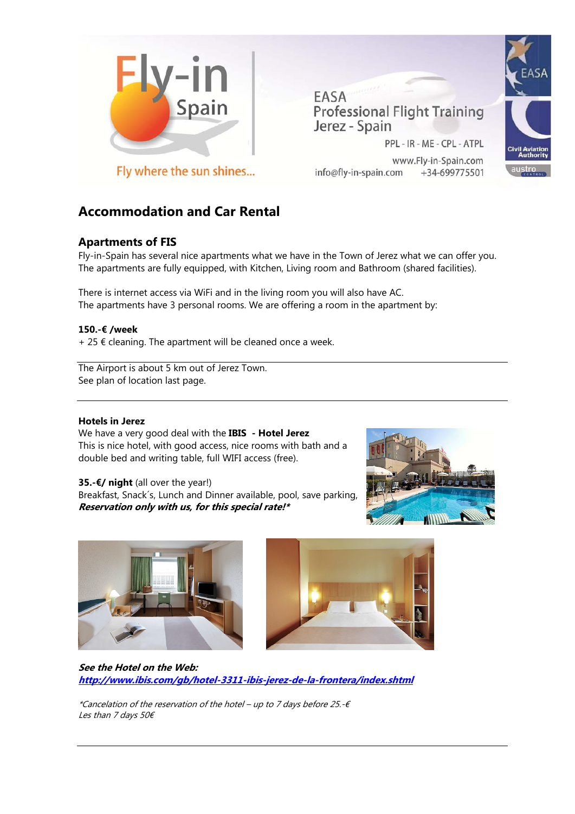

EASA **Professional Flight Training** Jerez - Spain

PPL - IR - ME - CPL - ATPL

www.Fly-in-Spain.com info@fly-in-spain.com +34-699775501



Fly where the sun shines...

# **Accommodation and Car Rental**

## **Apartments of FIS**

Fly-in-Spain has several nice apartments what we have in the Town of Jerez what we can offer you. The apartments are fully equipped, with Kitchen, Living room and Bathroom (shared facilities).

There is internet access via WiFi and in the living room you will also have AC. The apartments have 3 personal rooms. We are offering a room in the apartment by:

## **150.-€ /week**

 $+ 25 \notin$  cleaning. The apartment will be cleaned once a week.

The Airport is about 5 km out of Jerez Town. See plan of location last page.

## **Hotels in Jerez**

We have a very good deal with the **IBIS - Hotel Jerez**  This is nice hotel, with good access, nice rooms with bath and a double bed and writing table, full WIFI access (free).

Breakfast, Snack´s, Lunch and Dinner available, pool, save parking,



**Reservation only with us, for this special rate!\*** 

**35.-€/ night** (all over the year!)



**See the Hotel on the Web: http://www.ibis.com/gb/hotel-3311-ibis-jerez-de-la-frontera/index.shtml**

\*Cancelation of the reservation of the hotel – up to 7 days before 25.-€ Les than 7 days 50€